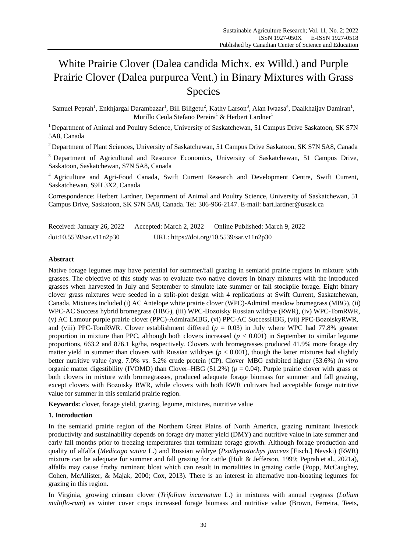# White Prairie Clover (Dalea candida Michx. ex Willd.) and Purple Prairie Clover (Dalea purpurea Vent.) in Binary Mixtures with Grass Species

Samuel Peprah<sup>1</sup>, Enkhjargal Darambazar<sup>1</sup>, Bill Biligetu<sup>2</sup>, Kathy Larson<sup>3</sup>, Alan Iwaasa<sup>4</sup>, Daalkhaijav Damiran<sup>1</sup>, Murillo Ceola Stefano Pereira<sup>1</sup> & Herbert Lardner<sup>1</sup>

<sup>1</sup> Department of Animal and Poultry Science, University of Saskatchewan, 51 Campus Drive Saskatoon, SK S7N 5A8, Canada

<sup>2</sup> Department of Plant Sciences, University of Saskatchewan, 51 Campus Drive Saskatoon, SK S7N 5A8, Canada

<sup>3</sup> Department of Agricultural and Resource Economics, University of Saskatchewan, 51 Campus Drive, Saskatoon, Saskatchewan, S7N 5A8, Canada

<sup>4</sup> Agriculture and Agri-Food Canada, Swift Current Research and Development Centre, Swift Current, Saskatchewan, S9H 3X2, Canada

Correspondence: Herbert Lardner, Department of Animal and Poultry Science, University of Saskatchewan, 51 Campus Drive, Saskatoon, SK S7N 5A8, Canada. Tel: 306-966-2147. E-mail[: bart.lardner@usask.ca](mailto:bart.lardner@usask.ca)

| Received: January 26, 2022 | Accepted: March 2, 2022 | Online Published: March 9, 2022           |
|----------------------------|-------------------------|-------------------------------------------|
| doi:10.5539/sar.v11n2p30   |                         | URL: https://doi.org/10.5539/sar.v11n2p30 |

# **Abstract**

Native forage legumes may have potential for summer/fall grazing in semiarid prairie regions in mixture with grasses. The objective of this study was to evaluate two native clovers in binary mixtures with the introduced grasses when harvested in July and September to simulate late summer or fall stockpile forage. Eight binary clover–grass mixtures were seeded in a split-plot design with 4 replications at Swift Current, Saskatchewan, Canada. Mixtures included (i) AC Antelope white prairie clover (WPC)-Admiral meadow bromegrass (MBG), (ii) WPC-AC Success hybrid bromegrass (HBG), (iii) WPC-Bozoisky Russian wildrye (RWR), (iv) WPC-TomRWR, (v) AC Lamour purple prairie clover (PPC)-AdmiralMBG, (vi) PPC-AC SuccessHBG, (vii) PPC-BozoiskyRWR, and (viii) PPC-TomRWR. Clover establishment differed  $(p = 0.03)$  in July where WPC had 77.8% greater proportion in mixture than PPC, although both clovers increased (*p* < 0.001) in September to similar legume proportions, 663.2 and 876.1 kg/ha, respectively. Clovers with bromegrasses produced 41.9% more forage dry matter yield in summer than clovers with Russian wildryes  $(p < 0.001)$ , though the latter mixtures had slightly better nutritive value (avg. 7.0% vs. 5.2% crude protein (CP). Clover–MBG exhibited higher (53.6%) *in vitro* organic matter digestibility (IVOMD) than Clover–HBG (51.2%) (*p* = 0.04). Purple prairie clover with grass or both clovers in mixture with bromegrasses, produced adequate forage biomass for summer and fall grazing, except clovers with Bozoisky RWR, while clovers with both RWR cultivars had acceptable forage nutritive value for summer in this semiarid prairie region.

**Keywords:** clover, forage yield, grazing, legume, mixtures, nutritive value

# **1. Introduction**

In the semiarid prairie region of the Northern Great Plains of North America, grazing ruminant livestock productivity and sustainability depends on forage dry matter yield (DMY) and nutritive value in late summer and early fall months prior to freezing temperatures that terminate forage growth. Although forage production and quality of alfalfa (*Medicago sativa* L.) and Russian wildrye (*Psathyrostachys junceus* [Fisch.] Nevski) (RWR) mixture can be adequate for summer and fall grazing for cattle (Holt & Jefferson, 1999; Peprah et al., 2021a), alfalfa may cause frothy ruminant bloat which can result in mortalities in grazing cattle (Popp, McCaughey, Cohen, McAllister, & Majak, 2000; Cox, 2013). There is an interest in alternative non-bloating legumes for grazing in this region.

In Virginia, growing crimson clover (*Trifolium incarnatum* L.) in mixtures with annual ryegrass (*Lolium multiflo-rum*) as winter cover crops increased forage biomass and nutritive value (Brown, Ferreira, Teets,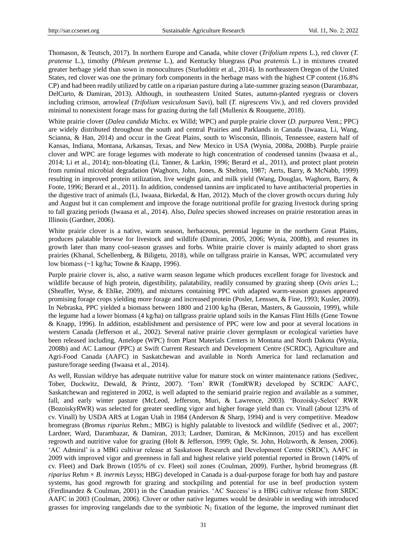Thomason, & Teutsch, 2017). In northern Europe and Canada, white clover (*Trifolium repens* L.), red clover (*T. pratense* L.), timothy (*Phleum pretense* L.), and Kentucky bluegrass (*Poa pratensis* L.) in mixtures created greater herbage yield than sown in monocultures (Sturludóttir et al., 2014). In northeastern Oregon of the United States, red clover was one the primary forb components in the herbage mass with the highest CP content (16.8% CP) and had been readily utilized by cattle on a riparian pasture during a late-summer grazing season (Darambazar, DelCurto, & Damiran, 2013). Although, in southeastern United States, autumn-planted ryegrass or clovers including crimson, arrowleaf (*Trifolium vesiculosum* Savi), ball (*T. nigrescens* Viv.), and red clovers provided minimal to nonexistent forage mass for grazing during the fall (Mullenix & Rouquette, 2018).

White prairie clover (*Dalea candida* Michx. ex Willd; WPC) and purple prairie clover (*D. purpurea* Vent.; PPC) are widely distributed throughout the south and central Prairies and Parklands in Canada (Iwaasa, Li, Wang, Scianna, & Han, 2014) and occur in the Great Plains, south to Wisconsin, Illinois, Tennessee, eastern half of Kansas, Indiana, Montana, Arkansas, Texas, and New Mexico in USA (Wynia, 2008a, 2008b). Purple prairie clover and WPC are forage legumes with moderate to high concentration of condensed tannins (Iwaasa et al., 2014; Li et al., 2014); non-bloating (Li, Tanner, & Larkin, 1996; Berard et al., 2011), and protect plant protein from ruminal microbial degradation (Waghorn, John, Jones, & Shelton, 1987; Aerts, Barry, & McNabb, 1999) resulting in improved protein utilization, live weight gain, and milk yield (Wang, Douglas, Waghorn, Barry, & Foote, 1996; Berard et al., 2011). In addition, condensed tannins are implicated to have antibacterial properties in the digestive tract of animals (Li, Iwaasa, Birkedal, & Han, 2012). Much of the clover growth occurs during July and August but it can complement and improve the forage nutritional profile for grazing livestock during spring to fall grazing periods (Iwaasa et al., 2014). Also, *Dalea* species showed increases on prairie restoration areas in Illinois (Gardner, 2006).

White prairie clover is a native, warm season, herbaceous, perennial legume in the northern Great Plains, produces palatable browse for livestock and wildlife (Damiran, 2005, 2006; Wynia, 2008b), and resumes its growth later than many cool-season grasses and forbs. White prairie clover is mainly adapted to short grass prairies (Khanal, Schellenberg, & Biligetu, 2018), while on tallgrass prairie in Kansas, WPC accumulated very low biomass (~1 kg/ha; Towne & Knapp, 1996).

Purple prairie clover is, also, a native warm season legume which produces excellent forage for livestock and wildlife because of high protein, digestibility, palatability, readily consumed by grazing sheep (*Ovis aries* L.; (Sheaffer, Wyse, & Ehlke, 2009), and mixtures containing PPC with adapted warm-season grasses appeared promising forage crops yielding more forage and increased protein (Posler, Lenssen, & Fine, 1993; Kusler, 2009). In Nebraska, PPC yielded a biomass between 1800 and 2100 kg/ha (Beran, Masters, & Gaussoin, 1999), while the legume had a lower biomass (4 kg/ha) on tallgrass prairie upland soils in the Kansas Flint Hills (Gene Towne & Knapp, 1996). In addition, establishment and persistence of PPC were low and poor at several locations in western Canada (Jefferson et al., 2002). Several native prairie clover germplasm or ecological varieties have been released including, Antelope (WPC) from Plant Materials Centers in Montana and North Dakota (Wynia, 2008b) and AC Lamour (PPC) at Swift Current Research and Development Centre (SCRDC), Agriculture and Agri-Food Canada (AAFC) in Saskatchewan and available in North America for land reclamation and pasture/forage seeding (Iwaasa et al., 2014).

As well, Russian wildrye has adequate nutritive value for mature stock on winter maintenance rations (Sedivec, Tober, Duckwitz, Dewald, & Printz, 2007). 'Tom' RWR (TomRWR) developed by SCRDC AAFC, Saskatchewan and registered in 2002, is well adapted to the semiarid prairie region and available as a summer, fall, and early winter pasture (McLeod, Jefferson, Muri, & Lawrence, 2003). 'Bozoisky-Select' RWR (BozoiskyRWR) was selected for greater seedling vigor and higher forage yield than cv. Vinall (about 123% of cv. Vinall) by USDA ARS at Logan Utah in 1984 (Anderson & Sharp, 1994) and is very competitive. Meadow bromegrass (*Bromus riparius* Rehm.; MBG) is highly palatable to livestock and wildlife (Sedivec et al., 2007; Lardner, Ward, Darambazar, & Damiran, 2013; Lardner, Damiran, & McKinnon, 2015) and has excellent regrowth and nutritive value for grazing (Holt & Jefferson, 1999; Ogle, St. John, Holzworth, & Jensen, 2006). 'AC Admiral' is a MBG cultivar release at Saskatoon Research and Development Centre (SRDC), AAFC in 2009 with improved vigor and greenness in fall and highest relative yield potential reported in Brown (140% of cv. Fleet) and Dark Brown (105% of cv. Fleet) soil zones (Coulman, 2009). Further, hybrid bromegrass (*B. riparius* Rehm × *B. inermis* Leyss; HBG) developed in Canada is a dual-purpose forage for both hay and pasture systems, has good regrowth for grazing and stockpiling and potential for use in beef production system (Ferdinandez & Coulman, 2001) in the Canadian prairies. 'AC Success' is a HBG cultivar release from SRDC AAFC in 2003 (Coulman, 2006). Clover or other native legumes would be desirable in seeding with introduced grasses for improving rangelands due to the symbiotic  $N_2$  fixation of the legume, the improved ruminant diet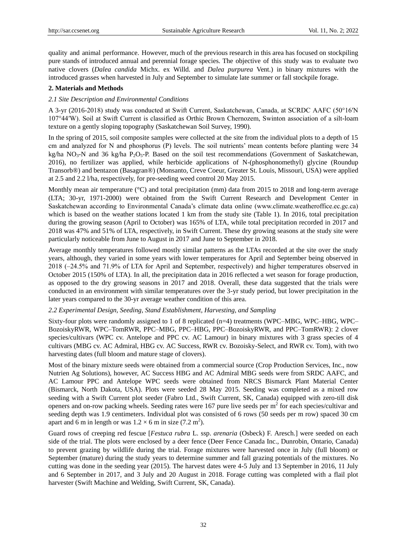quality and animal performance. However, much of the previous research in this area has focused on stockpiling pure stands of introduced annual and perennial forage species. The objective of this study was to evaluate two native clovers (*Dalea candida* Michx. ex Willd. and *Dalea purpurea* Vent.) in binary mixtures with the introduced grasses when harvested in July and September to simulate late summer or fall stockpile forage.

## **2. Materials and Methods**

# *2.1 Site Description and Environmental Conditions*

A 3-yr (2016-2018) study was conducted at Swift Current, Saskatchewan, Canada, at SCRDC AAFC (50°16′N 107°44′W). Soil at Swift Current is classified as Orthic Brown Chernozem, Swinton association of a silt-loam texture on a gently sloping topography (Saskatchewan Soil Survey, 1990).

In the spring of 2015, soil composite samples were collected at the site from the individual plots to a depth of 15 cm and analyzed for N and phosphorus (P) levels. The soil nutrients' mean contents before planting were 34 kg/ha NO<sub>3</sub>-N and 36 kg/ha P<sub>2</sub>O<sub>5</sub>-P. Based on the soil test recommendations (Government of Saskatchewan, 2016), no fertilizer was applied, while herbicide applications of N-(phosphonomethyl) glycine (Roundup Transorb®) and bentazon (Basagran®) (Monsanto, Creve Coeur, Greater St. Louis, Missouri, USA) were applied at 2.5 and 2.2 l/ha, respectively, for pre-seeding weed control 20 May 2015.

Monthly mean air temperature ( $\degree$ C) and total precipitation (mm) data from 2015 to 2018 and long-term average (LTA; 30-yr, 1971-2000) were obtained from the Swift Current Research and Development Center in Saskatchewan according to Environmental Canada's climate data online (www.climate.weatheroffice.ec.gc.ca) which is based on the weather stations located 1 km from the study site (Table 1). In 2016, total precipitation during the growing season (April to October) was 165% of LTA, while total precipitation recorded in 2017 and 2018 was 47% and 51% of LTA, respectively, in Swift Current. These dry growing seasons at the study site were particularly noticeable from June to August in 2017 and June to September in 2018.

Average monthly temperatures followed mostly similar patterns as the LTAs recorded at the site over the study years, although, they varied in some years with lower temperatures for April and September being observed in 2018 (‒24.5% and 71.9% of LTA for April and September, respectively) and higher temperatures observed in October 2015 (150% of LTA). In all, the precipitation data in 2016 reflected a wet season for forage production, as opposed to the dry growing seasons in 2017 and 2018. Overall, these data suggested that the trials were conducted in an environment with similar temperatures over the 3-yr study period, but lower precipitation in the later years compared to the 30-yr average weather condition of this area.

## *2.2 Experimental Design, Seeding, Stand Establishment, Harvesting, and Sampling*

Sixty-four plots were randomly assigned to 1 of 8 replicated (n=4) treatments (WPC–MBG, WPC–HBG, WPC– BozoiskyRWR, WPC–TomRWR, PPC–MBG, PPC–HBG, PPC–BozoiskyRWR, and PPC–TomRWR): 2 clover species/cultivars (WPC cv. Antelope and PPC cv. AC Lamour) in binary mixtures with 3 grass species of 4 cultivars (MBG cv. AC Admiral, HBG cv. AC Success, RWR cv. Bozoisky-Select, and RWR cv. Tom), with two harvesting dates (full bloom and mature stage of clovers).

Most of the binary mixture seeds were obtained from a commercial source (Crop Production Services, Inc., now Nutrien Ag Solutions), however, AC Success HBG and AC Admiral MBG seeds were from SRDC AAFC, and AC Lamour PPC and Antelope WPC seeds were obtained from NRCS Bismarck Plant Material Center (Bismarck, North Dakota, USA). Plots were seeded 28 May 2015. Seeding was completed as a mixed row seeding with a Swift Current plot seeder (Fabro Ltd., Swift Current, SK, Canada) equipped with zero-till disk openers and on-row packing wheels. Seeding rates were 167 pure live seeds per  $m<sup>2</sup>$  for each species/cultivar and seeding depth was 1.9 centimeters. Individual plot was consisted of 6 rows (50 seeds per m row) spaced 30 cm apart and 6 m in length or was  $1.2 \times 6$  m in size (7.2 m<sup>2</sup>).

Guard rows of creeping red fescue [*Festuca rubra* L. ssp. *arenaria* (Osbeck) F. Aresch.] were seeded on each side of the trial. The plots were enclosed by a deer fence (Deer Fence Canada Inc., Dunrobin, Ontario, Canada) to prevent grazing by wildlife during the trial. Forage mixtures were harvested once in July (full bloom) or September (mature) during the study years to determine summer and fall grazing potentials of the mixtures. No cutting was done in the seeding year (2015). The harvest dates were 4-5 July and 13 September in 2016, 11 July and 6 September in 2017, and 3 July and 20 August in 2018. Forage cutting was completed with a flail plot harvester (Swift Machine and Welding, Swift Current, SK, Canada).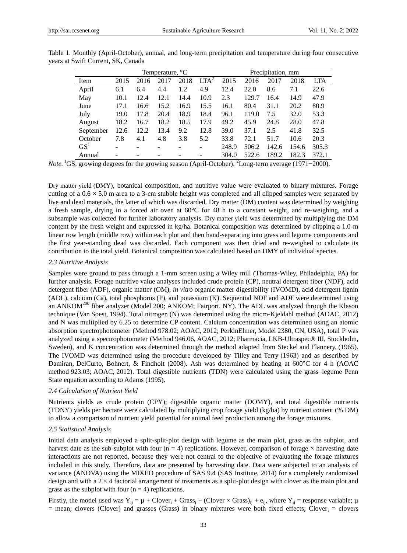|                 | Temperature, $\mathcal{C}$ |      |      |      |                  |       | Precipitation, mm |       |       |            |  |
|-----------------|----------------------------|------|------|------|------------------|-------|-------------------|-------|-------|------------|--|
| Item            | 2015                       | 2016 | 2017 | 2018 | LTA <sup>2</sup> | 2015  | 2016              | 2017  | 2018  | <b>LTA</b> |  |
| April           | 6.1                        | 6.4  | 4.4  | 1.2  | 4.9              | 12.4  | 22.0              | 8.6   | 7.1   | 22.6       |  |
| May             | 10.1                       | 12.4 | 12.1 | 14.4 | 10.9             | 2.3   | 129.7             | 16.4  | 14.9  | 47.9       |  |
| June            | 17.1                       | 16.6 | 15.2 | 16.9 | 15.5             | 16.1  | 80.4              | 31.1  | 20.2  | 80.9       |  |
| July            | 19.0                       | 17.8 | 20.4 | 18.9 | 18.4             | 96.1  | 119.0             | 7.5   | 32.0  | 53.3       |  |
| August          | 18.2                       | 16.7 | 18.2 | 18.5 | 17.9             | 49.2  | 45.9              | 24.8  | 28.0  | 47.8       |  |
| September       | 12.6                       | 12.2 | 13.4 | 9.2  | 12.8             | 39.0  | 37.1              | 2.5   | 41.8  | 32.5       |  |
| October         | 7.8                        | 4.1  | 4.8  | 3.8  | 5.2              | 33.8  | 72.1              | 51.7  | 10.6  | 20.3       |  |
| GS <sup>T</sup> |                            |      |      |      |                  | 248.9 | 506.2             | 142.6 | 154.6 | 305.3      |  |
| Annual          |                            |      |      |      |                  | 304.0 | 522.6             | 189.2 | 182.3 | 372.1      |  |

Table 1. Monthly (April-October), annual, and long-term precipitation and temperature during four consecutive years at Swift Current, SK, Canada

*Note.* <sup>1</sup>GS, growing degrees for the growing season (April-October); <sup>2</sup>Long-term average (1971−2000).

Dry matter yield (DMY), botanical composition, and nutritive value were evaluated to binary mixtures. Forage cutting of a  $0.6 \times 5.0$  m area to a 3-cm stubble height was completed and all clipped samples were separated by live and dead materials, the latter of which was discarded. Dry matter (DM) content was determined by weighing a fresh sample, drying in a forced air oven at  $60\degree$  for 48 h to a constant weight, and re-weighing, and a subsample was collected for further laboratory analysis. Dry matter yield was determined by multiplying the DM content by the fresh weight and expressed in kg/ha. Botanical composition was determined by clipping a 1.0-m linear row length (middle row) within each plot and then hand-separating into grass and legume components and the first year-standing dead was discarded. Each component was then dried and re-weighed to calculate its contribution to the total yield. Botanical composition was calculated based on DMY of individual species.

#### *2.3 Nutritive Analysis*

Samples were ground to pass through a 1-mm screen using a Wiley mill (Thomas-Wiley, Philadelphia, PA) for further analysis. Forage nutritive value analyses included crude protein (CP), neutral detergent fiber (NDF), acid detergent fiber (ADF), organic matter (OM), *in vitro* organic matter digestibility (IVOMD), acid detergent lignin (ADL), calcium (Ca), total phosphorus (P), and potassium (K). Sequential NDF and ADF were determined using an ANKOM<sup>200</sup> fiber analyzer (Model 200; ANKOM; Fairport, NY). The ADL was analyzed through the Klason technique (Van Soest, 1994). Total nitrogen (N) was determined using the micro-Kjeldahl method (AOAC, 2012) and N was multiplied by 6.25 to determine CP content. Calcium concentration was determined using an atomic absorption spectrophotometer (Method 978.02; AOAC, 2012; PerkinElmer, Model 2380, CN, USA), total P was analyzed using a spectrophotometer (Method 946.06, AOAC, 2012; Pharmacia, LKB-Ultraspec® III, Stockholm, Sweden), and K concentration was determined through the method adapted from Steckel and Flannery, (1965). The IVOMD was determined using the procedure developed by Tilley and Terry (1963) and as described by Damiran, DelCurto, Bohnert, & Findholt (2008). Ash was determined by heating at 600  $\mathbb C$  for 4 h (AOAC method 923.03; AOAC, 2012). Total digestible nutrients (TDN) were calculated using the grass–legume Penn State equation according to Adams (1995).

## *2.4 Calculation of Nutrient Yield*

Nutrients yields as crude protein (CPY); digestible organic matter (DOMY), and total digestible nutrients (TDNY) yields per hectare were calculated by multiplying crop forage yield (kg/ha) by nutrient content (% DM) to allow a comparison of nutrient yield potential for animal feed production among the forage mixtures.

## *2.5 Statistical Analysis*

Initial data analysis employed a split-split-plot design with legume as the main plot, grass as the subplot, and harvest date as the sub-subplot with four  $(n = 4)$  replications. However, comparison of forage  $\times$  harvesting date interactions are not reported, because they were not central to the objective of evaluating the forage mixtures included in this study. Therefore, data are presented by harvesting date. Data were subjected to an analysis of variance (ANOVA) using the MIXED procedure of SAS 9.4 (SAS Institute, 2014) for a completely randomized design and with a 2 × 4 factorial arrangement of treatments as a split-plot design with clover as the main plot and grass as the subplot with four  $(n = 4)$  replications.

Firstly, the model used was  $Y_{ij} = \mu + Clover_i + Grass_i + (Clover \times Grass)_{ij} + e_{ij}$ , where  $Y_{ij}$  = response variable;  $\mu$  $=$  mean; clovers (Clover) and grasses (Grass) in binary mixtures were both fixed effects; Clover<sub>i</sub>  $=$  clovers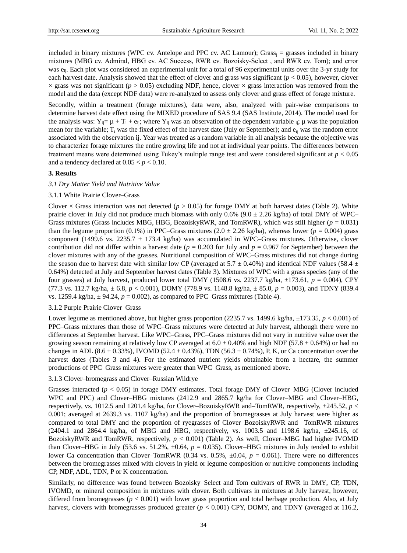included in binary mixtures (WPC cv. Antelope and PPC cv. AC Lamour); Grass<sub>i</sub> = grasses included in binary mixtures (MBG cv. Admiral, HBG cv. AC Success, RWR cv. Bozoisky-Select, and RWR cv. Tom); and error was e<sub>ij</sub>. Each plot was considered an experimental unit for a total of 96 experimental units over the 3-yr study for each harvest date. Analysis showed that the effect of clover and grass was significant ( $p < 0.05$ ), however, clover  $\times$  grass was not significant ( $p > 0.05$ ) excluding NDF, hence, clover  $\times$  grass interaction was removed from the model and the data (except NDF data) were re-analyzed to assess only clover and grass effect of forage mixture.

Secondly, within a treatment (forage mixtures), data were, also, analyzed with pair-wise comparisons to determine harvest date effect using the MIXED procedure of SAS 9.4 (SAS Institute, 2014). The model used for the analysis was:  $Y_{ij} = \mu + T_i + e_{ij}$ ; where  $Y_{ij}$  was an observation of the dependent variable  $_{ij}$ ;  $\mu$  was the population mean for the variable;  $T_i$  was the fixed effect of the harvest date (July or September); and  $e_{ii}$  was the random error associated with the observation ij. Year was treated as a random variable in all analysis because the objective was to characterize forage mixtures the entire growing life and not at individual year points. The differences between treatment means were determined using Tukey's multiple range test and were considered significant at *p* < 0.05 and a tendency declared at  $0.05 < p < 0.10$ .

## **3. Results**

## *3.1 Dry Matter Yield and Nutritive Value*

## 3.1.1 White Prairie Clover–Grass

Clover  $\times$  Grass interaction was not detected ( $p > 0.05$ ) for forage DMY at both harvest dates (Table 2). White prairie clover in July did not produce much biomass with only 0.6% (9.0  $\pm$  2.26 kg/ha) of total DMY of WPC– Grass mixtures (Grass includes MBG, HBG, BozoiskyRWR, and TomRWR), which was still higher (*p* = 0.031) than the legume proportion (0.1%) in PPC–Grass mixtures (2.0  $\pm$  2.26 kg/ha), whereas lower ( $p = 0.004$ ) grass component (1499.6 vs. 2235.7  $\pm$  173.4 kg/ha) was accumulated in WPC–Grass mixtures. Otherwise, clover contribution did not differ within a harvest date ( $p = 0.203$  for July and  $p = 0.967$  for September) between the clover mixtures with any of the grasses. Nutritional composition of WPC–Grass mixtures did not change during the season due to harvest date with similar low CP (averaged at 5.7  $\pm$  0.40%) and identical NDF values (58.4  $\pm$ 0.64%) detected at July and September harvest dates (Table 3). Mixtures of WPC with a grass species (any of the four grasses) at July harvest, produced lower total DMY (1508.6 vs. 2237.7 kg/ha,  $\pm$ 173.61,  $p = 0.004$ ), CPY (77.3 vs. 112.7 kg/ha, ± 6.8, *p* < 0.001), DOMY (778.9 vs. 1148.8 kg/ha, ± 85.0, *p* = 0.003), and TDNY (839.4 vs. 1259.4 kg/ha,  $\pm$  94.24,  $p = 0.002$ ), as compared to PPC–Grass mixtures (Table 4).

## 3.1.2 Purple Prairie Clover–Grass

Lower legume as mentioned above, but higher grass proportion (2235.7 vs. 1499.6 kg/ha,  $\pm$ 173.35, *p* < 0.001) of PPC–Grass mixtures than those of WPC–Grass mixtures were detected at July harvest, although there were no differences at September harvest. Like WPC–Grass, PPC–Grass mixtures did not vary in nutritive value over the growing season remaining at relatively low CP averaged at  $6.0 \pm 0.40\%$  and high NDF (57.8  $\pm 0.64\%$ ) or had no changes in ADL (8.6 ± 0.33%), IVOMD (52.4 ± 0.43%), TDN (56.3 ± 0.74%), P, K, or Ca concentration over the harvest dates (Tables 3 and 4). For the estimated nutrient yields obtainable from a hectare, the summer productions of PPC–Grass mixtures were greater than WPC–Grass, as mentioned above.

3.1.3 Clover–bromegrass and Clover–Russian Wildrye

Grasses interacted (*p* < 0.05) in forage DMY estimates. Total forage DMY of Clover–MBG (Clover included WPC and PPC) and Clover–HBG mixtures (2412.9 and 2865.7 kg/ha for Clover–MBG and Clover–HBG, respectively, vs. 1012.5 and 1201.4 kg/ha, for Clover–BozoiskyRWR and–TomRWR, respectively, ±245.52, *p* < 0.001; averaged at 2639.3 vs. 1107 kg/ha) and the proportion of bromegrasses at July harvest were higher as compared to total DMY and the proportion of ryegrasses of Clover–BozoiskyRWR and –TomRWR mixtures  $(2404.1 \text{ and } 2864.4 \text{ kg/ha}, \text{ of MBG and HBG, respectively, vs. } 1003.5 \text{ and } 1198.6 \text{ kg/ha}, \pm 245.16, \text{ of } 1003.5 \text{ m}$ BozoiskyRWR and TomRWR, respectively, *p* < 0.001) (Table 2). As well, Clover–MBG had higher IVOMD than Clover–HBG in July (53.6 vs. 51.2%,  $\pm$ 0.64,  $p = 0.035$ ). Clover–HBG mixtures in July tended to exhibit lower Ca concentration than Clover–TomRWR (0.34 vs. 0.5%, ±0.04, *p* = 0.061). There were no differences between the bromegrasses mixed with clovers in yield or legume composition or nutritive components including CP, NDF, ADL, TDN, P or K concentration.

Similarly, no difference was found between Bozoisky–Select and Tom cultivars of RWR in DMY, CP, TDN, IVOMD, or mineral composition in mixtures with clover. Both cultivars in mixtures at July harvest, however, differed from bromegrasses ( $p < 0.001$ ) with lower grass proportion and total herbage production. Also, at July harvest, clovers with bromegrasses produced greater ( $p < 0.001$ ) CPY, DOMY, and TDNY (averaged at 116.2,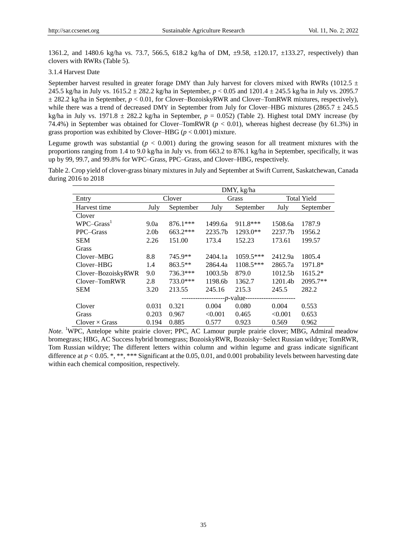1361.2, and 1480.6 kg/ha vs. 73.7, 566.5, 618.2 kg/ha of DM, ±9.58, ±120.17, ±133.27, respectively) than clovers with RWRs (Table 5).

# 3.1.4 Harvest Date

September harvest resulted in greater forage DMY than July harvest for clovers mixed with RWRs (1012.5  $\pm$ 245.5 kg/ha in July vs. 1615.2 ± 282.2 kg/ha in September, *p* < 0.05 and 1201.4 ± 245.5 kg/ha in July vs. 2095.7 ± 282.2 kg/ha in September, *p* < 0.01, for Clover–BozoiskyRWR and Clover–TomRWR mixtures, respectively), while there was a trend of decreased DMY in September from July for Clover–HBG mixtures (2865.7  $\pm$  245.5 kg/ha in July vs. 1971.8  $\pm$  282.2 kg/ha in September,  $p = 0.052$ ) (Table 2). Highest total DMY increase (by 74.4%) in September was obtained for Clover–TomRWR (*p* < 0.01), whereas highest decrease (by 61.3%) in grass proportion was exhibited by Clover–HBG (*p* < 0.001) mixture.

Legume growth was substantial  $(p < 0.001)$  during the growing season for all treatment mixtures with the proportions ranging from 1.4 to 9.0 kg/ha in July vs. from 663.2 to 876.1 kg/ha in September, specifically, it was up by 99, 99.7, and 99.8% for WPC–Grass, PPC–Grass, and Clover–HBG, respectively.

Table 2. Crop yield of clover-grass binary mixtures in July and September at Swift Current, Saskatchewan, Canada during 2016 to 2018

|                       | DMY, kg/ha       |             |         |             |                    |           |  |  |  |
|-----------------------|------------------|-------------|---------|-------------|--------------------|-----------|--|--|--|
| Entry                 |                  | Clover      |         | Grass       | <b>Total Yield</b> |           |  |  |  |
| Harvest time          | July             | September   | July    | September   | July               | September |  |  |  |
| Clover                |                  |             |         |             |                    |           |  |  |  |
| $WPC-Grass1$          | 9.0a             | $876.1***$  | 1499.6a | 911.8***    | 1508.6a            | 1787.9    |  |  |  |
| PPC-Grass             | 2.0 <sub>b</sub> | $663.2***$  | 2235.7b | 1293.0**    | 2237.7b            | 1956.2    |  |  |  |
| <b>SEM</b>            | 2.26             | 151.00      | 173.4   | 152.23      | 173.61             | 199.57    |  |  |  |
| Grass                 |                  |             |         |             |                    |           |  |  |  |
| Clover–MBG            | 8.8              | 745.9**     | 2404.1a | $1059.5***$ | 2412.9a            | 1805.4    |  |  |  |
| Clover-HBG            | 1.4              | $863.5**$   | 2864.4a | $1108.5***$ | 2865.7a            | 1971.8*   |  |  |  |
| Clover-BozoiskyRWR    | 9.0              | 736.3***    | 1003.5b | 879.0       | 1012.5b            | $1615.2*$ |  |  |  |
| Clover-TomRWR         | 2.8              | 733.0***    | 1198.6b | 1362.7      | 1201.4b            | 2095.7**  |  |  |  |
| <b>SEM</b>            | 3.20             | 213.55      | 245.16  | 215.3       | 245.5              | 282.2     |  |  |  |
|                       |                  | --p-value-- |         |             |                    |           |  |  |  |
| Clover                | 0.031            | 0.321       | 0.004   | 0.080       | 0.004              | 0.553     |  |  |  |
| Grass                 | 0.203            | 0.967       | < 0.001 | 0.465       | < 0.001            | 0.653     |  |  |  |
| $Clover \times Grass$ | 0.194            | 0.885       | 0.577   | 0.923       | 0.569              | 0.962     |  |  |  |

*Note.* <sup>1</sup>WPC, Antelope white prairie clover; PPC, AC Lamour purple prairie clover; MBG, Admiral meadow bromegrass; HBG, AC Success hybrid bromegrass; BozoiskyRWR, Bozoisky−Select Russian wildrye; TomRWR, Tom Russian wildrye; The different letters within column and within legume and grass indicate significant difference at  $p < 0.05$ . \*, \*\*, \*\*\* Significant at the 0.05, 0.01, and 0.001 probability levels between harvesting date within each chemical composition, respectively.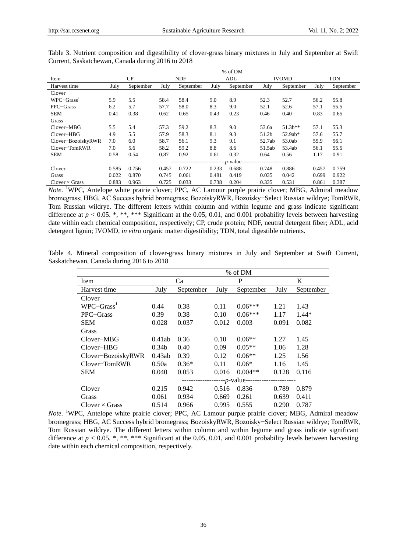|                       | % of DM |                     |            |           |       |           |              |            |            |           |
|-----------------------|---------|---------------------|------------|-----------|-------|-----------|--------------|------------|------------|-----------|
| Item                  | CP      |                     | <b>NDF</b> |           | ADL   |           | <b>IVOMD</b> |            | <b>TDN</b> |           |
| Harvest time          | July    | September           | July       | September | July  | September | July         | September  | July       | September |
| Clover                |         |                     |            |           |       |           |              |            |            |           |
| $WPC-Grass1$          | 5.9     | 5.5                 | 58.4       | 58.4      | 9.0   | 8.9       | 52.3         | 52.7       | 56.2       | 55.8      |
| PPC-Grass             | 6.2     | 5.7                 | 57.7       | 58.0      | 8.3   | 9.0       | 52.1         | 52.6       | 57.1       | 55.5      |
| <b>SEM</b>            | 0.41    | 0.38                | 0.62       | 0.65      | 0.43  | 0.23      | 0.46         | 0.40       | 0.83       | 0.65      |
| Grass                 |         |                     |            |           |       |           |              |            |            |           |
| Clover-MBG            | 5.5     | 5.4                 | 57.3       | 59.2      | 8.3   | 9.0       | 53.6a        | $51.3b***$ | 57.1       | 55.3      |
| Clover-HBG            | 4.9     | 5.5                 | 57.9       | 58.3      | 8.1   | 9.3       | 51.2b        | 52.9ab*    | 57.6       | 55.7      |
| Clover-BozoiskyRWR    | 7.0     | 6.0                 | 58.7       | 56.1      | 9.3   | 9.1       | 52.7ab       | 53.0ab     | 55.9       | 56.1      |
| Clover-TomRWR         | 7.0     | 5.6                 | 58.2       | 59.2      | 8.8   | 8.6       | 51.5ab       | 53.4ab     | 56.1       | 55.5      |
| <b>SEM</b>            | 0.58    | 0.54                | 0.87       | 0.92      | 0.61  | 0.32      | 0.64         | 0.56       | 1.17       | 0.91      |
|                       |         | -- <i>p</i> -value- |            |           |       |           |              |            |            |           |
| Clover                | 0.585   | 0.756               | 0.457      | 0.722     | 0.233 | 0.688     | 0.748        | 0.886      | 0.457      | 0.759     |
| Grass                 | 0.022   | 0.870               | 0.745      | 0.061     | 0.481 | 0.419     | 0.035        | 0.042      | 0.699      | 0.922     |
| Clover $\times$ Grass | 0.883   | 0.963               | 0.725      | 0.033     | 0.738 | 0.204     | 0.335        | 0.531      | 0.861      | 0.387     |

Table 3. Nutrient composition and digestibility of clover-grass binary mixtures in July and September at Swift Current, Saskatchewan, Canada during 2016 to 2018

*Note*. <sup>1</sup>WPC, Antelope white prairie clover; PPC, AC Lamour purple prairie clover; MBG, Admiral meadow bromegrass; HBG, AC Success hybrid bromegrass; BozoiskyRWR, Bozoisky−Select Russian wildrye; TomRWR, Tom Russian wildrye. The different letters within column and within legume and grass indicate significant difference at  $p < 0.05$ . \*, \*\*\* Significant at the 0.05, 0.01, and 0.001 probability levels between harvesting date within each chemical composition, respectively; CP, crude protein; NDF, neutral detergent fiber; ADL, acid detergent lignin; IVOMD, *in vitro* organic matter digestibility; TDN, total digestible nutrients.

|  | Table 4. Mineral composition of clover-grass binary mixtures in July and September at Swift Current, |  |  |  |  |  |  |
|--|------------------------------------------------------------------------------------------------------|--|--|--|--|--|--|
|  | Saskatchewan, Canada during 2016 to 2018                                                             |  |  |  |  |  |  |

|                       | % of DM           |           |       |            |       |           |  |  |  |  |
|-----------------------|-------------------|-----------|-------|------------|-------|-----------|--|--|--|--|
| Item                  |                   | Ca        |       | P          | K     |           |  |  |  |  |
| Harvest time          | July              | September | July  | September  | July  | September |  |  |  |  |
| Clover                |                   |           |       |            |       |           |  |  |  |  |
| $WPC-Grass1$          | 0.44              | 0.38      | 0.11  | $0.06***$  | 1.21  | 1.43      |  |  |  |  |
| PPC-Grass             | 0.39              | 0.38      | 0.10  | $0.06***$  | 1.17  | $1.44*$   |  |  |  |  |
| <b>SEM</b>            | 0.028             | 0.037     | 0.012 | 0.003      | 0.091 | 0.082     |  |  |  |  |
| Grass                 |                   |           |       |            |       |           |  |  |  |  |
| Clover-MBG            | 0.41ab            | 0.36      | 0.10  | $0.06**$   | 1.27  | 1.45      |  |  |  |  |
| Clover-HBG            | 0.34 <sub>b</sub> | 0.40      | 0.09  | $0.05**$   | 1.06  | 1.28      |  |  |  |  |
| Clover-BozoiskyRWR    | 0.43ab            | 0.39      | 0.12  | $0.06**$   | 1.25  | 1.56      |  |  |  |  |
| Clover-TomRWR         | 0.50a             | $0.36*$   | 0.11  | $0.06*$    | 1.16  | 1.45      |  |  |  |  |
| <b>SEM</b>            | 0.040             | 0.053     | 0.016 | $0.004**$  | 0.128 | 0.116     |  |  |  |  |
|                       |                   |           |       | --p-value- |       |           |  |  |  |  |
| Clover                | 0.215             | 0.942     | 0.516 | 0.836      | 0.789 | 0.879     |  |  |  |  |
| Grass                 | 0.061             | 0.934     | 0.669 | 0.261      | 0.639 | 0.411     |  |  |  |  |
| $Clover \times Grass$ | 0.514             | 0.966     | 0.995 | 0.555      | 0.290 | 0.787     |  |  |  |  |

*Note*. <sup>1</sup>WPC, Antelope white prairie clover; PPC, AC Lamour purple prairie clover; MBG, Admiral meadow bromegrass; HBG, AC Success hybrid bromegrass; BozoiskyRWR, Bozoisky−Select Russian wildrye; TomRWR, Tom Russian wildrye. The different letters within column and within legume and grass indicate significant difference at  $p < 0.05$ . \*, \*\*, \*\*\* Significant at the 0.05, 0.01, and 0.001 probability levels between harvesting date within each chemical composition, respectively.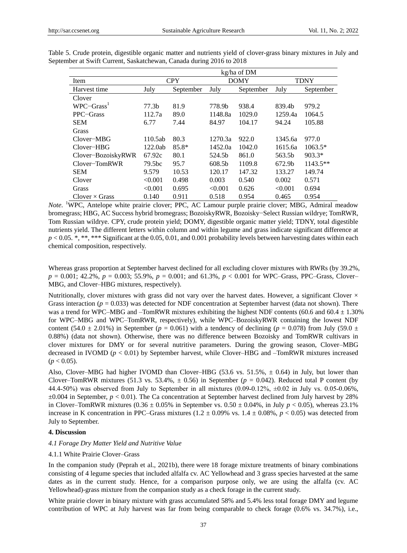|                       | kg/ha of DM       |            |         |             |             |            |  |  |  |
|-----------------------|-------------------|------------|---------|-------------|-------------|------------|--|--|--|
| Item                  |                   | <b>CPY</b> |         | <b>DOMY</b> | <b>TDNY</b> |            |  |  |  |
| Harvest time          | July              | September  | July    | September   | July        | September  |  |  |  |
| Clover                |                   |            |         |             |             |            |  |  |  |
| $WPC-Grass1$          | 77.3 <sub>b</sub> | 81.9       | 778.9b  | 938.4       | 839.4b      | 979.2      |  |  |  |
| PPC-Grass             | 112.7a            | 89.0       | 1148.8a | 1029.0      | 1259.4a     | 1064.5     |  |  |  |
| <b>SEM</b>            | 6.77              | 7.44       | 84.97   | 104.17      | 94.24       | 105.88     |  |  |  |
| Grass                 |                   |            |         |             |             |            |  |  |  |
| Clover-MBG            | 110.5ab           | 80.3       | 1270.3a | 922.0       | 1345.6a     | 977.0      |  |  |  |
| Clover-HBG            | 122.0ab           | $85.8*$    | 1452.0a | 1042.0      | 1615.6a     | $1063.5*$  |  |  |  |
| Clover-BozoiskyRWR    | 67.92c            | 80.1       | 524.5b  | 861.0       | 563.5b      | $903.3*$   |  |  |  |
| Clover-TomRWR         | 79.5bc            | 95.7       | 608.5b  | 1109.8      | 672.9b      | $1143.5**$ |  |  |  |
| <b>SEM</b>            | 9.579             | 10.53      | 120.17  | 147.32      | 133.27      | 149.74     |  |  |  |
| Clover                | < 0.001           | 0.498      | 0.003   | 0.540       | 0.002       | 0.571      |  |  |  |
| Grass                 | < 0.001           | 0.695      | < 0.001 | 0.626       | < 0.001     | 0.694      |  |  |  |
| Clover $\times$ Grass | 0.140             | 0.911      | 0.518   | 0.954       | 0.465       | 0.954      |  |  |  |

Table 5. Crude protein, digestible organic matter and nutrients yield of clover-grass binary mixtures in July and September at Swift Current, Saskatchewan, Canada during 2016 to 2018

*Note*. <sup>1</sup>WPC, Antelope white prairie clover; PPC, AC Lamour purple prairie clover; MBG, Admiral meadow bromegrass; HBG, AC Success hybrid bromegrass; BozoiskyRWR, Bozoisky−Select Russian wildrye; TomRWR, Tom Russian wildrye. CPY, crude protein yield; DOMY, digestible organic matter yield; TDNY, total digestible nutrients yield. The different letters within column and within legume and grass indicate significant difference at  $p < 0.05$ . \*, \*\*, \*\*\* Significant at the 0.05, 0.01, and 0.001 probability levels between harvesting dates within each chemical composition, respectively.

Whereas grass proportion at September harvest declined for all excluding clover mixtures with RWRs (by 39.2%, *p* = 0.001; 42.2%, *p* = 0.003; 55.9%, *p* = 0.001; and 61.3%, *p* < 0.001 for WPC–Grass, PPC–Grass, Clover– MBG, and Clover–HBG mixtures, respectively).

Nutritionally, clover mixtures with grass did not vary over the harvest dates. However, a significant Clover  $\times$ Grass interaction ( $p = 0.033$ ) was detected for NDF concentration at September harvest (data not shown). There was a trend for WPC–MBG and –TomRWR mixtures exhibiting the highest NDF contents (60.6 and 60.4  $\pm$  1.30%) for WPC–MBG and WPC–TomRWR, respectively), while WPC–BozoiskyRWR containing the lowest NDF content (54.0  $\pm$  2.01%) in September ( $p = 0.061$ ) with a tendency of declining ( $p = 0.078$ ) from July (59.0  $\pm$ 0.88%) (data not shown). Otherwise, there was no difference between Bozoisky and TomRWR cultivars in clover mixtures for DMY or for several nutritive parameters. During the growing season, Clover–MBG decreased in IVOMD (*p* < 0.01) by September harvest, while Clover–HBG and –TomRWR mixtures increased  $(p < 0.05)$ .

Also, Clover–MBG had higher IVOMD than Clover–HBG (53.6 vs. 51.5%,  $\pm$  0.64) in July, but lower than Clover–TomRWR mixtures (51.3 vs. 53.4%,  $\pm$  0.56) in September ( $p = 0.042$ ). Reduced total P content (by 44.4-50%) was observed from July to September in all mixtures  $(0.09-0.12\% \pm 0.02$  in July vs. 0.05-0.06%,  $\pm 0.004$  in September,  $p < 0.01$ ). The Ca concentration at September harvest declined from July harvest by 28% in Clover–TomRWR mixtures  $(0.36 \pm 0.05\%$  in September vs.  $0.50 \pm 0.04\%$ , in July  $p < 0.05$ ), whereas 23.1% increase in K concentration in PPC–Grass mixtures (1.2  $\pm$  0.09% vs. 1.4  $\pm$  0.08%, *p* < 0.05) was detected from July to September.

## **4. Discussion**

## *4.1 Forage Dry Matter Yield and Nutritive Value*

## 4.1.1 White Prairie Clover–Grass

In the companion study (Peprah et al., 2021b), there were 18 forage mixture treatments of binary combinations consisting of 4 legume species that included alfalfa cv. AC Yellowhead and 3 grass species harvested at the same dates as in the current study. Hence, for a comparison purpose only, we are using the alfalfa (cv. AC Yellowhead)-grass mixture from the companion study as a check forage in the current study.

White prairie clover in binary mixture with grass accumulated 58% and 5.4% less total forage DMY and legume contribution of WPC at July harvest was far from being comparable to check forage (0.6% vs. 34.7%), i.e.,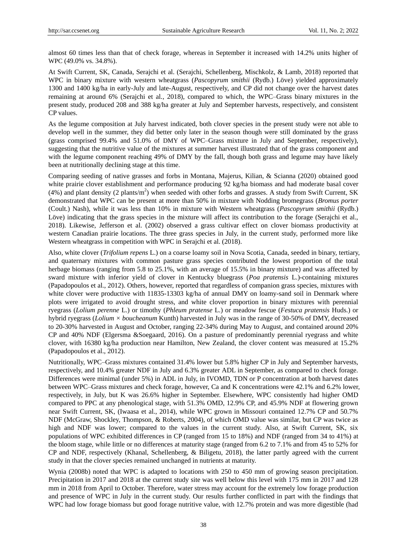almost 60 times less than that of check forage, whereas in September it increased with 14.2% units higher of WPC (49.0% vs. 34.8%).

At Swift Current, SK, Canada, Serajchi et al. (Serajchi, Schellenberg, Mischkolz, & Lamb, 2018) reported that WPC in binary mixture with western wheatgrass (*Pascopyrum smithii* (Rydb.) Löve) yielded approximately 1300 and 1400 kg/ha in early-July and late-August, respectively, and CP did not change over the harvest dates remaining at around 6% (Serajchi et al., 2018), compared to which, the WPC–Grass binary mixtures in the present study, produced 208 and 388 kg/ha greater at July and September harvests, respectively, and consistent CP values.

As the legume composition at July harvest indicated, both clover species in the present study were not able to develop well in the summer, they did better only later in the season though were still dominated by the grass (grass comprised 99.4% and 51.0% of DMY of WPC–Grass mixture in July and September, respectively), suggesting that the nutritive value of the mixtures at summer harvest illustrated that of the grass component and with the legume component reaching 49% of DMY by the fall, though both grass and legume may have likely been at nutritionally declining stage at this time.

Comparing seeding of native grasses and forbs in Montana, Majerus, Kilian, & Scianna (2020) obtained good white prairie clover establishment and performance producing 92 kg/ha biomass and had moderate basal cover (4%) and plant density (2 plants/ $m<sup>2</sup>$ ) when seeded with other forbs and grasses. A study from Swift Current, SK demonstrated that WPC can be present at more than 50% in mixture with Nodding bromegrass (*Bromus porter* (Coult.) Nash), while it was less than 10% in mixture with Western wheatgrass (*Pascopyrum smithii* (Rydb.) Löve) indicating that the grass species in the mixture will affect its contribution to the forage (Serajchi et al., 2018). Likewise, Jefferson et al. (2002) observed a grass cultivar effect on clover biomass productivity at western Canadian prairie locations. The three grass species in July, in the current study, performed more like Western wheatgrass in competition with WPC in Serajchi et al. (2018).

Also, white clover (*Trifolium repens* L.) on a coarse loamy soil in Nova Scotia, Canada, seeded in binary, tertiary, and quaternary mixtures with common pasture grass species contributed the lowest proportion of the total herbage biomass (ranging from 5.8 to 25.1%, with an average of 15.5% in binary mixture) and was affected by sward mixture with inferior yield of clover in Kentucky bluegrass (*Poa pratensis* L.)-containing mixtures (Papadopoulos et al., 2012). Others, however, reported that regardless of companion grass species, mixtures with white clover were productive with 11835-13303 kg/ha of annual DMY on loamy-sand soil in Denmark where plots were irrigated to avoid drought stress, and white clover proportion in binary mixtures with perennial ryegrass (*Lolium perenne* L.) or timothy (*Phleum pratense* L.) or meadow fescue (*Festuca pratensis* Huds.) or hybrid ryegrass (*Lolium × boucheanum* Kunth) harvested in July was in the range of 30-50% of DMY, decreased to 20-30% harvested in August and October, ranging 22-34% during May to August, and contained around 20% CP and 40% NDF (Elgersma &Soegaard, 2016). On a pasture of predominantly perennial ryegrass and white clover, with 16380 kg/ha production near Hamilton, New Zealand, the clover content was measured at 15.2% (Papadopoulos et al., 2012).

Nutritionally, WPC–Grass mixtures contained 31.4% lower but 5.8% higher CP in July and September harvests, respectively, and 10.4% greater NDF in July and 6.3% greater ADL in September, as compared to check forage. Differences were minimal (under 5%) in ADL in July, in IVOMD, TDN or P concentration at both harvest dates between WPC–Grass mixtures and check forage, however, Ca and K concentrations were 42.1% and 6.2% lower, respectively, in July, but K was 26.6% higher in September. Elsewhere, WPC consistently had higher OMD compared to PPC at any phenological stage, with 51.3% OMD, 12.9% CP, and 45.9% NDF at flowering grown near Swift Current, SK, (Iwaasa et al., 2014), while WPC grown in Missouri contained 12.7% CP and 50.7% NDF (McGraw, Shockley, Thompson, & Roberts, 2004), of which OMD value was similar, but CP was twice as high and NDF was lower; compared to the values in the current study. Also, at Swift Current, SK, six populations of WPC exhibited differences in CP (ranged from 15 to 18%) and NDF (ranged from 34 to 41%) at the bloom stage, while little or no differences at maturity stage (ranged from 6.2 to 7.1% and from 45 to 52% for CP and NDF, respectively (Khanal, Schellenberg, & Biligetu, 2018), the latter partly agreed with the current study in that the clover species remained unchanged in nutrients at maturity.

Wynia (2008b) noted that WPC is adapted to locations with 250 to 450 mm of growing season precipitation. Precipitation in 2017 and 2018 at the current study site was well below this level with 175 mm in 2017 and 128 mm in 2018 from April to October. Therefore, water stress may account for the extremely low forage production and presence of WPC in July in the current study. Our results further conflicted in part with the findings that WPC had low forage biomass but good forage nutritive value, with 12.7% protein and was more digestible (had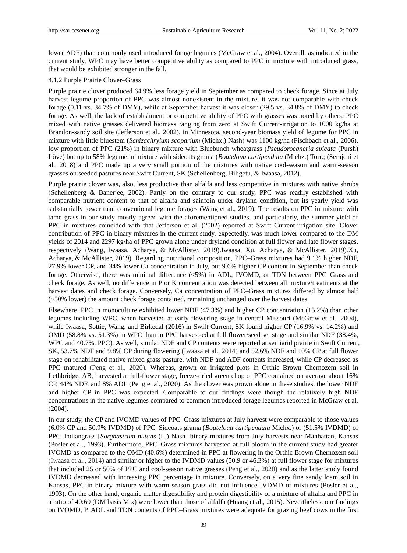lower ADF) than commonly used introduced forage legumes (McGraw et al., 2004). Overall, as indicated in the current study, WPC may have better competitive ability as compared to PPC in mixture with introduced grass, that would be exhibited stronger in the fall.

# 4.1.2 Purple Prairie Clover–Grass

Purple prairie clover produced 64.9% less forage yield in September as compared to check forage. Since at July harvest legume proportion of PPC was almost nonexistent in the mixture, it was not comparable with check forage (0.11 vs. 34.7% of DMY), while at September harvest it was closer (29.5 vs. 34.8% of DMY) to check forage. As well, the lack of establishment or competitive ability of PPC with grasses was noted by others; PPC mixed with native grasses delivered biomass ranging from zero at Swift Current-irrigation to 1000 kg/ha at Brandon-sandy soil site (Jefferson et al., 2002), in Minnesota, second-year biomass yield of legume for PPC in mixture with little bluestem (*Schizachryium scoparium* (Michx.) Nash) was 1100 kg/ha (Fischbach et al., 2006), low proportion of PPC (21%) in binary mixture with Bluebunch wheatgrass (*Pseudoroegneria spicata* (Pursh) Löve) but up to 58% legume in mixture with sideoats grama (*Bouteloua curtipendula* (Michz.) Torr.; (Serajchi et al., 2018) and PPC made up a very small portion of the mixtures with native cool-season and warm-season grasses on seeded pastures near Swift Current, SK (Schellenberg, Biligetu, & Iwaasa, 2012).

Purple prairie clover was, also, less productive than alfalfa and less competitive in mixtures with native shrubs (Schellenberg & Banerjee, 2002). Partly on the contrary to our study, PPC was readily established with comparable nutrient content to that of alfalfa and sainfoin under dryland condition, but its yearly yield was substantially lower than conventional legume forages (Wang et al., 2019). The results on PPC in mixture with tame grass in our study mostly agreed with the aforementioned studies, and particularly, the summer yield of PPC in mixtures coincided with that Jefferson et al. (2002) reported at Swift Current-irrigation site. Clover contribution of PPC in binary mixtures in the current study, expectedly, was much lower compared to the DM yields of 2014 and 2297 kg/ha of PPC grown alone under dryland condition at full flower and late flower stages, respectively (Wang, Iwaasa, Acharya, & McAllister, 2019).Iwaasa, Xu, Acharya, & McAllister, 2019).Xu, Acharya, & McAllister, 2019). Regarding nutritional composition, PPC–Grass mixtures had 9.1% higher NDF, 27.9% lower CP, and 34% lower Ca concentration in July, but 9.6% higher CP content in September than check forage. Otherwise, there was minimal difference (<5%) in ADL, IVOMD, or TDN between PPC–Grass and check forage. As well, no difference in P or K concentration was detected between all mixture/treatments at the harvest dates and check forage. Conversely, Ca concentration of PPC–Grass mixtures differed by almost half (~50% lower) the amount check forage contained, remaining unchanged over the harvest dates.

Elsewhere, PPC in monoculture exhibited lower NDF (47.3%) and higher CP concentration (15.2%) than other legumes including WPC, when harvested at early flowering stage in central Missouri (McGraw et al., 2004), while Iwaasa, Sottie, Wang, and Birkedal (2016) in Swift Current, SK found higher CP (16.9% vs. 14.2%) and OMD (58.8% vs. 51.3%) in WPC than in PPC harvest-ed at full flower/seed set stage and similar NDF (38.4%, WPC and 40.7%, PPC). As well, similar NDF and CP contents were reported at semiarid prairie in Swift Current, SK, 53.7% NDF and 9.8% CP during flowering (Iwaasa et al., 2014) and 52.6% NDF and 10% CP at full flower stage on rehabilitated native mixed grass pasture, with NDF and ADF contents increased, while CP decreased as PPC matured (Peng et al., 2020). Whereas, grown on irrigated plots in Orthic Brown Chernozem soil in Lethbridge, AB, harvested at full-flower stage, freeze-dried green chop of PPC contained on average about 16% CP, 44% NDF, and 8% ADL (Peng et al., 2020). As the clover was grown alone in these studies, the lower NDF and higher CP in PPC was expected. Comparable to our findings were though the relatively high NDF concentrations in the native legumes compared to common introduced forage legumes reported in McGraw et al. (2004).

In our study, the CP and IVOMD values of PPC–Grass mixtures at July harvest were comparable to those values (6.0% CP and 50.9% IVDMD) of PPC–Sideoats grama (*Bouteloua curtipendula* Michx.) or (51.5% IVDMD) of PPC–Indiangrass [*Sorghastrum nutans* (L.) Nash] binary mixtures from July harvests near Manhattan, Kansas (Posler et al., 1993). Furthermore, PPC–Grass mixtures harvested at full bloom in the current study had greater IVOMD as compared to the OMD (40.6%) determined in PPC at flowering in the Orthic Brown Chernozem soil (Iwaasa et al., 2014) and similar or higher to the IVDMD values (50.9 or 46.3%) at full flower stage for mixtures that included 25 or 50% of PPC and cool-season native grasses (Peng et al., 2020) and as the latter study found IVDMD decreased with increasing PPC percentage in mixture. Conversely, on a very fine sandy loam soil in Kansas, PPC in binary mixture with warm-season grass did not influence IVDMD of mixtures (Posler et al., 1993). On the other hand, organic matter digestibility and protein digestibility of a mixture of alfalfa and PPC in a ratio of 40:60 (DM basis Mix) were lower than those of alfalfa (Huang et al., 2015). Nevertheless, our findings on IVOMD, P, ADL and TDN contents of PPC–Grass mixtures were adequate for grazing beef cows in the first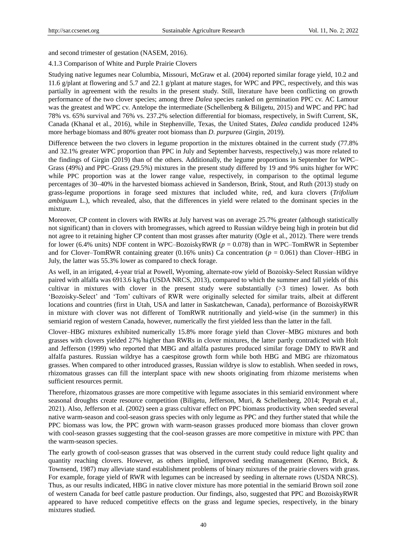and second trimester of gestation (NASEM, 2016).

#### 4.1.3 Comparison of White and Purple Prairie Clovers

Studying native legumes near Columbia, Missouri, McGraw et al. (2004) reported similar forage yield, 10.2 and 11.6 g/plant at flowering and 5.7 and 22.1 g/plant at mature stages, for WPC and PPC, respectively, and this was partially in agreement with the results in the present study. Still, literature have been conflicting on growth performance of the two clover species; among three *Dalea* species ranked on germination PPC cv. AC Lamour was the greatest and WPC cv. Antelope the intermediate (Schellenberg & Biligetu, 2015) and WPC and PPC had 78% vs. 65% survival and 76% vs. 237.2% selection differential for biomass, respectively, in Swift Current, SK, Canada (Khanal et al., 2016), while in Stephenville, Texas, the United States, *Dalea candida* produced 124% more herbage biomass and 80% greater root biomass than *D. purpurea* (Girgin, 2019).

Difference between the two clovers in legume proportion in the mixtures obtained in the current study (77.8% and 32.1% greater WPC proportion than PPC in July and September harvests, respectively,) was more related to the findings of Girgin (2019) than of the others. Additionally, the legume proportions in September for WPC– Grass (49%) and PPC–Grass (29.5%) mixtures in the present study differed by 19 and 9% units higher for WPC while PPC proportion was at the lower range value, respectively, in comparison to the optimal legume percentages of 30–40% in the harvested biomass achieved in Sanderson, Brink, Stout, and Ruth (2013) study on grass-legume proportions in forage seed mixtures that included white, red, and kura clovers (*Trifolium ambiguum* L.), which revealed, also, that the differences in yield were related to the dominant species in the mixture.

Moreover, CP content in clovers with RWRs at July harvest was on average 25.7% greater (although statistically not significant) than in clovers with bromegrasses, which agreed to Russian wildrye being high in protein but did not agree to it retaining higher CP content than most grasses after maturity (Ogle et al., 2012). There were trends for lower (6.4% units) NDF content in WPC–BozoiskyRWR (*p* = 0.078) than in WPC–TomRWR in September and for Clover–TomRWR containing greater (0.16% units) Ca concentration ( $p = 0.061$ ) than Clover–HBG in July, the latter was 55.3% lower as compared to check forage.

As well, in an irrigated, 4-year trial at Powell, Wyoming, alternate-row yield of Bozoisky-Select Russian wildrye paired with alfalfa was 6913.6 kg/ha (USDA NRCS, 2013), compared to which the summer and fall yields of this cultivar in mixtures with clover in the present study were substantially (>3 times) lower. As both 'Bozoisky˗Select' and 'Tom' cultivars of RWR were originally selected for similar traits, albeit at different locations and countries (first in Utah, USA and latter in Saskatchewan, Canada), performance of BozoiskyRWR in mixture with clover was not different of TomRWR nutritionally and yield-wise (in the summer) in this semiarid region of western Canada, however, numerically the first yielded less than the latter in the fall.

Clover–HBG mixtures exhibited numerically 15.8% more forage yield than Clover–MBG mixtures and both grasses with clovers yielded 27% higher than RWRs in clover mixtures, the latter partly contradicted with Holt and Jefferson (1999) who reported that MBG and alfalfa pastures produced similar forage DMY to RWR and alfalfa pastures. Russian wildrye has a caespitose growth form while both HBG and MBG are rhizomatous grasses. When compared to other introduced grasses, Russian wildrye is slow to establish. When seeded in rows, rhizomatous grasses can fill the interplant space with new shoots originating from rhizome meristems when sufficient resources permit.

Therefore, rhizomatous grasses are more competitive with legume associates in this semiarid environment where seasonal droughts create resource competition (Biligetu, Jefferson, Muri, & Schellenberg, 2014; Peprah et al., 2021). Also, Jefferson et al. (2002) seen a grass cultivar effect on PPC biomass productivity when seeded several native warm-season and cool-season grass species with only legume as PPC and they further stated that while the PPC biomass was low, the PPC grown with warm-season grasses produced more biomass than clover grown with cool-season grasses suggesting that the cool-season grasses are more competitive in mixture with PPC than the warm-season species.

The early growth of cool-season grasses that was observed in the current study could reduce light quality and quantity reaching clovers. However, as others implied, improved seeding management (Kenno, Brick, & Townsend, 1987) may alleviate stand establishment problems of binary mixtures of the prairie clovers with grass. For example, forage yield of RWR with legumes can be increased by seeding in alternate rows (USDA NRCS). Thus, as our results indicated, HBG in native clover mixture has more potential in the semiarid Brown soil zone of western Canada for beef cattle pasture production. Our findings, also, suggested that PPC and BozoiskyRWR appeared to have reduced competitive effects on the grass and legume species, respectively, in the binary mixtures studied.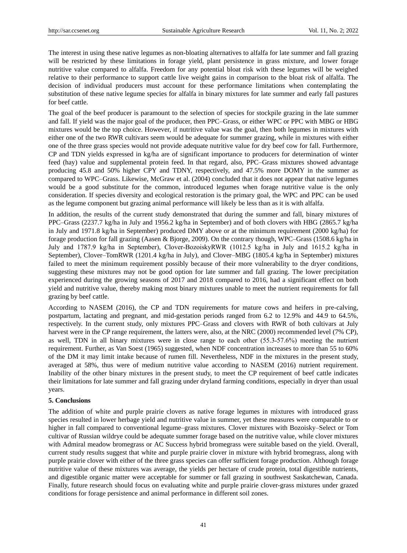The interest in using these native legumes as non-bloating alternatives to alfalfa for late summer and fall grazing will be restricted by these limitations in forage yield, plant persistence in grass mixture, and lower forage nutritive value compared to alfalfa. Freedom for any potential bloat risk with these legumes will be weighed relative to their performance to support cattle live weight gains in comparison to the bloat risk of alfalfa. The decision of individual producers must account for these performance limitations when contemplating the substitution of these native legume species for alfalfa in binary mixtures for late summer and early fall pastures for beef cattle.

The goal of the beef producer is paramount to the selection of species for stockpile grazing in the late summer and fall. If yield was the major goal of the producer, then PPC–Grass, or either WPC or PPC with MBG or HBG mixtures would be the top choice. However, if nutritive value was the goal, then both legumes in mixtures with either one of the two RWR cultivars seem would be adequate for summer grazing, while in mixtures with either one of the three grass species would not provide adequate nutritive value for dry beef cow for fall. Furthermore, CP and TDN yields expressed in kg/ha are of significant importance to producers for determination of winter feed (hay) value and supplemental protein feed. In that regard, also, PPC–Grass mixtures showed advantage producing 45.8 and 50% higher CPY and TDNY, respectively, and 47.5% more DOMY in the summer as compared to WPC–Grass. Likewise, McGraw et al. (2004) concluded that it does not appear that native legumes would be a good substitute for the common, introduced legumes when forage nutritive value is the only consideration. If species diversity and ecological restoration is the primary goal, the WPC and PPC can be used as the legume component but grazing animal performance will likely be less than as it is with alfalfa.

In addition, the results of the current study demonstrated that during the summer and fall, binary mixtures of PPC–Grass (2237.7 kg/ha in July and 1956.2 kg/ha in September) and of both clovers with HBG (2865.7 kg/ha in July and 1971.8 kg/ha in September) produced DMY above or at the minimum requirement (2000 kg/ha) for forage production for fall grazing (Aasen & Bjorge, 2009). On the contrary though, WPC–Grass (1508.6 kg/ha in July and 1787.9 kg/ha in September), Clover-BozoiskyRWR (1012.5 kg/ha in July and 1615.2 kg/ha in September), Clover–TomRWR (1201.4 kg/ha in July), and Clover–MBG (1805.4 kg/ha in September) mixtures failed to meet the minimum requirement possibly because of their more vulnerability to the dryer conditions, suggesting these mixtures may not be good option for late summer and fall grazing. The lower precipitation experienced during the growing seasons of 2017 and 2018 compared to 2016, had a significant effect on both yield and nutritive value, thereby making most binary mixtures unable to meet the nutrient requirements for fall grazing by beef cattle.

According to NASEM (2016), the CP and TDN requirements for mature cows and heifers in pre-calving, postpartum, lactating and pregnant, and mid-gestation periods ranged from 6.2 to 12.9% and 44.9 to 64.5%, respectively. In the current study, only mixtures PPC–Grass and clovers with RWR of both cultivars at July harvest were in the CP range requirement, the latters were, also, at the NRC (2000) recommended level (7% CP), as well, TDN in all binary mixtures were in close range to each other (55.3-57.6%) meeting the nutrient requirement. Further, as Van Soest (1965) suggested, when NDF concentration increases to more than 55 to 60% of the DM it may limit intake because of rumen fill. Nevertheless, NDF in the mixtures in the present study, averaged at 58%, thus were of medium nutritive value according to NASEM (2016) nutrient requirement. Inability of the other binary mixtures in the present study, to meet the CP requirement of beef cattle indicates their limitations for late summer and fall grazing under dryland farming conditions, especially in dryer than usual years.

#### **5. Conclusions**

The addition of white and purple prairie clovers as native forage legumes in mixtures with introduced grass species resulted in lower herbage yield and nutritive value in summer, yet these measures were comparable to or higher in fall compared to conventional legume–grass mixtures. Clover mixtures with Bozoisky–Select or Tom cultivar of Russian wildrye could be adequate summer forage based on the nutritive value, while clover mixtures with Admiral meadow bromegrass or AC Success hybrid bromegrass were suitable based on the yield. Overall, current study results suggest that white and purple prairie clover in mixture with hybrid bromegrass, along with purple prairie clover with either of the three grass species can offer sufficient forage production. Although forage nutritive value of these mixtures was average, the yields per hectare of crude protein, total digestible nutrients, and digestible organic matter were acceptable for summer or fall grazing in southwest Saskatchewan, Canada. Finally, future research should focus on evaluating white and purple prairie clover-grass mixtures under grazed conditions for forage persistence and animal performance in different soil zones.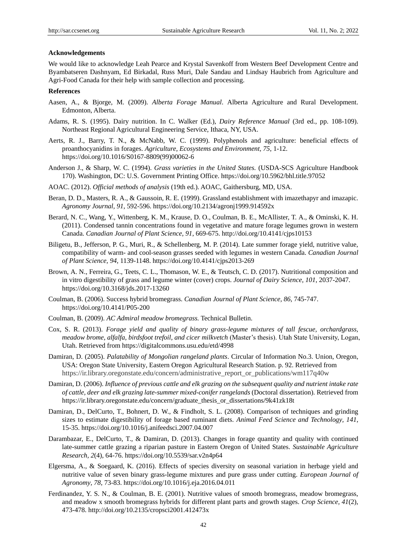## **Acknowledgements**

We would like to acknowledge Leah Pearce and Krystal Savenkoff from Western Beef Development Centre and Byambatseren Dashnyam, Ed Birkadal, Russ Muri, Dale Sandau and Lindsay Haubrich from Agriculture and Agri-Food Canada for their help with sample collection and processing.

#### **References**

- Aasen, A., & Bjorge, M. (2009). *Alberta Forage Manual*. Alberta Agriculture and Rural Development. Edmonton, Alberta.
- Adams, R. S. (1995). Dairy nutrition. In C. Walker (Ed.), *Dairy Reference Manual* (3rd ed., pp. 108-109). Northeast Regional Agricultural Engineering Service, Ithaca, NY, USA.
- Aerts, R. J., Barry, T. N., & McNabb, W. C. (1999). Polyphenols and agriculture: beneficial effects of proanthocyanidins in forages. *Agriculture, Ecosystems and Environment, 75*, 1-12. https://doi.org/10.1016/S0167-8809(99)00062-6
- Anderson J., & Sharp, W. C. (1994). *Grass varieties in the United States.* (USDA-SCS Agriculture Handbook 170). Washington, DC: U.S. Government Printing Office. https://doi.org/10.5962/bhl.title.97052
- AOAC. (2012). *Official methods of analysis* (19th ed.). AOAC, Gaithersburg, MD, USA.
- Beran, D. D., Masters, R. A., & Gaussoin, R. E. (1999). Grassland establishment with imazethapyr and imazapic. *Agronomy Journal, 91*, 592-596. https://doi.org/10.2134/agronj1999.914592x
- Berard, N. C., Wang, Y., Wittenberg, K. M., Krause, D. O., Coulman, B. E., McAllister, T. A., & Ominski, K. H. (2011). Condensed tannin concentrations found in vegetative and mature forage legumes grown in western Canada. *Canadian Journal of Plant Science, 91*, 669-675. http://doi.org/10.4141/cjps10153
- Biligetu, B., Jefferson, P. G., Muri, R., & Schellenberg, M. P. (2014). Late summer forage yield, nutritive value, compatibility of warm- and cool-season grasses seeded with legumes in western Canada. *Canadian Journal of Plant Science, 94*, 1139-1148. https://doi.org/10.4141/cjps2013-269
- Brown, A. N., Ferreira, G., Teets, C. L., Thomason, W. E., & Teutsch, C. D. (2017). Nutritional composition and in vitro digestibility of grass and legume winter (cover) crops. *Journal of Dairy Science, 101*, 2037-2047. https://doi.org/10.3168/jds.2017-13260
- Coulman, B. (2006). Success hybrid bromegrass. *Canadian Journal of Plant Science, 86*, 745-747. https://doi.org/10.4141/P05-200
- Coulman, B. (2009). *AC Admiral meadow bromegrass.* Technical Bulletin.
- Cox, S. R. (2013). *Forage yield and quality of binary grass-legume mixtures of tall fescue, orchardgrass, meadow brome, alfalfa, birdsfoot trefoil, and cicer milkvetch* (Master's thesis). Utah State University, Logan, Utah. Retrieved from https://digitalcommons.usu.edu/etd/4998
- Damiran, D. (2005). *Palatability of Mongolian rangeland plants*. Circular of Information No.3. Union, Oregon, USA: Oregon State University, Eastern Oregon Agricultural Research Station. p. 92. Retrieved from https://ir.library.oregonstate.edu/concern/administrative\_report\_or\_publications/wm117q40w
- Damiran, D. (2006). *Influence of previous cattle and elk grazing on the subsequent quality and nutrient intake rate of cattle, deer and elk grazing late-summer mixed-conifer rangelands* (Doctoral dissertation). Retrieved from https://ir.library.oregonstate.edu/concern/graduate\_thesis\_or\_dissertations/9k41zk18t
- Damiran, D., DelCurto, T., Bohnert, D. W., & Findholt, S. L. (2008). Comparison of techniques and grinding sizes to estimate digestibility of forage based ruminant diets. *Animal Feed Science and Technology, 141*, 15-35. https://doi.org/10.1016/j.anifeedsci.2007.04.007
- Darambazar, E., DelCurto, T., & Damiran, D. (2013). Changes in forage quantity and quality with continued late-summer cattle grazing a riparian pasture in Eastern Oregon of United States. *Sustainable Agriculture Research, 2*(4), 64-76. https://doi.org/10.5539/sar.v2n4p64
- Elgersma, A., & Soegaard, K. (2016). Effects of species diversity on seasonal variation in herbage yield and nutritive value of seven binary grass-legume mixtures and pure grass under cutting. *European Journal of Agronomy, 78*, 73-83. https://doi.org/10.1016/j.eja.2016.04.011
- Ferdinandez, Y. S. N., & Coulman, B. E. (2001). Nutritive values of smooth bromegrass, meadow bromegrass, and meadow x smooth bromegrass hybrids for different plant parts and growth stages. *Crop Science, 41*(2), 473-478. http://doi.org/10.2135/cropsci2001.412473x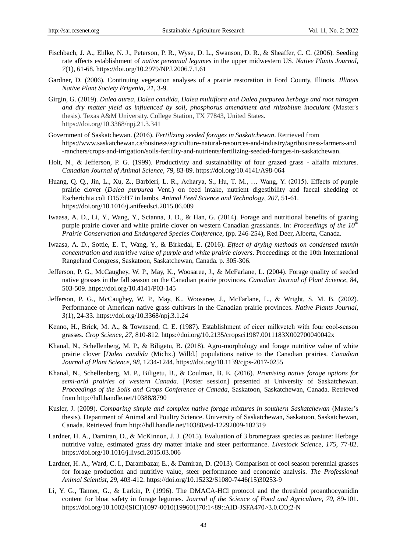- Fischbach, J. A., Ehlke, N. J., Peterson, P. R., Wyse, D. L., Swanson, D. R., & Sheaffer, C. C. (2006). Seeding rate affects establishment of *native perennial legumes* in the upper midwestern US. *Native Plants Journal, 7*(1), 61-68. https://doi.org/10.2979/NPJ.2006.7.1.61
- Gardner, D. (2006). Continuing vegetation analyses of a prairie restoration in Ford County, Illinois. *Illinois Native Plant Society Erigenia, 21*, 3-9.
- Girgin, G. (2019). *Dalea aurea, Dalea candida, Dalea multiflora and Dalea purpurea herbage and root nitrogen and dry matter yield as influenced by soil, phosphorus amendment and rhizobium inoculant* (Master's thesis). Texas A&M University. College Station, TX 77843, United States. https://doi.org/10.3368/npj.21.3.341
- Government of Saskatchewan. (2016). *Fertilizing seeded forages in Saskatchewan*. Retrieved from https://www.saskatchewan.ca/business/agriculture-natural-resources-and-industry/agribusiness-farmers-and -ranchers/crops-and-irrigation/soils-fertility-and-nutrients/fertilizing-seeded-forages-in-saskatchewan.
- Holt, N., & Jefferson, P. G. (1999). Productivity and sustainability of four grazed grass alfalfa mixtures. *Canadian Journal of Animal Science, 79*, 83-89. https://doi.org/10.4141/A98-064
- Huang, Q. Q., Jin, L., Xu, Z., Barbieri, L. R., Acharya, S., Hu, T. M., … Wang, Y. (2015). Effects of purple prairie clover (*Dalea purpurea* Vent.) on feed intake, nutrient digestibility and faecal shedding of Escherichia coli O157:H7 in lambs. *Animal Feed Science and Technology, 207*, 51-61. https://doi.org/10.1016/j.anifeedsci.2015.06.009
- Iwaasa, A. D., Li, Y., Wang, Y., Scianna, J. D., & Han, G. (2014). Forage and nutritional benefits of grazing purple prairie clover and white prairie clover on western Canadian grasslands. In: *Proceedings of the 10th Prairie Conservation and Endangered Species Conference*, (pp. 246-254), Red Deer, Alberta, Canada.
- Iwaasa, A. D., Sottie, E. T., Wang, Y., & Birkedal, E. (2016). *Effect of drying methods on condensed tannin concentration and nutritive value of purple and white prairie clovers*. Proceedings of the 10th International Rangeland Congress, Saskatoon, Saskatchewan, Canada. p. 305-306.
- Jefferson, P. G., McCaughey, W. P., May, K., Woosaree, J., & McFarlane, L. (2004). Forage quality of seeded native grasses in the fall season on the Canadian prairie provinces. *Canadian Journal of Plant Science, 84*, 503-509. https://doi.org/10.4141/P03-145
- Jefferson, P. G., McCaughey, W. P., May, K., Woosaree, J., McFarlane, L., & Wright, S. M. B. (2002). Performance of American native grass cultivars in the Canadian prairie provinces. *Native Plants Journal, 3*(1), 24-33. https://doi.org/10.3368/npj.3.1.24
- Kenno, H., Brick, M. A., & Townsend, C. E. (1987). Establishment of cicer milkvetch with four cool-season grasses. *Crop Science, 27*, 810-812. https://doi.org/10.2135/cropsci1987.0011183X002700040042x
- Khanal, N., Schellenberg, M. P., & Biligetu, B. (2018). Agro-morphology and forage nutritive value of white prairie clover [*Dalea candida* (Michx.) Willd.] populations native to the Canadian prairies. *Canadian Journal of Plant Science, 98*, 1234-1244. https://doi.org/10.1139/cjps-2017-0255
- Khanal, N., Schellenberg, M. P., Biligetu, B., & Coulman, B. E. (2016). *Promising native forage options for semi-arid prairies of western Canada*. [Poster session] presented at University of Saskatchewan. *Proceedings of the Soils and Crops Conference of Canada*, Saskatoon, Saskatchewan, Canada. Retrieved from http://hdl.handle.net/10388/8790
- Kusler, J. (2009). *Comparing simple and complex native forage mixtures in southern Saskatchewan* (Master's thesis). Department of Animal and Poultry Science. University of Saskatchewan, Saskatoon, Saskatchewan, Canada. Retrieved from http://hdl.handle.net/10388/etd-12292009-102319
- Lardner, H. A., Damiran, D., & McKinnon, J. J. (2015). Evaluation of 3 bromegrass species as pasture: Herbage nutritive value, estimated grass dry matter intake and steer performance. *Livestock Science, 175*, 77-82. https://doi.org/10.1016/j.livsci.2015.03.006
- Lardner, H. A., Ward, C. I., Darambazar, E., & Damiran, D. (2013). Comparison of cool season perennial grasses for forage production and nutritive value, steer performance and economic analysis. *The Professional Animal Scientist, 29*, 403-412. https://doi.org/10.15232/S1080-7446(15)30253-9
- Li, Y. G., Tanner, G., & Larkin, P. (1996). The DMACA-HCl protocol and the threshold proanthocyanidin content for bloat safety in forage legumes. *Journal of the Science of Food and Agriculture, 70*, 89-101. https://doi.org/10.1002/(SICI)1097-0010(199601)70:1<89::AID-JSFA470>3.0.CO;2-N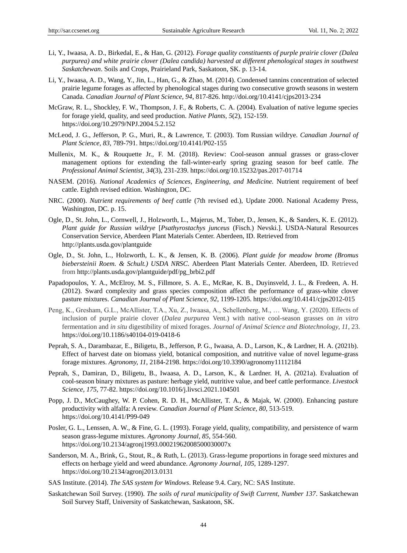- Li, Y., Iwaasa, A. D., Birkedal, E., & Han, G. (2012). *Forage quality constituents of purple prairie clover (Dalea purpurea) and white prairie clover (Dalea candida) harvested at different phenological stages in southwest Saskatchewan*. Soils and Crops, Prairieland Park, Saskatoon, SK. p. 13-14.
- Li, Y., Iwaasa, A. D., Wang, Y., Jin, L., Han, G., & Zhao, M. (2014). Condensed tannins concentration of selected prairie legume forages as affected by phenological stages during two consecutive growth seasons in western Canada. *Canadian Journal of Plant Science, 94*, 817-826. http://doi.org/10.4141/cjps2013-234
- McGraw, R. L., Shockley, F. W., Thompson, J. F., & Roberts, C. A. (2004). Evaluation of native legume species for forage yield, quality, and seed production. *Native Plants, 5*(2), 152-159. https://doi.org/10.2979/NPJ.2004.5.2.152
- McLeod, J. G., Jefferson, P. G., Muri, R., & Lawrence, T. (2003). Tom Russian wildrye. *Canadian Journal of Plant Science, 83*, 789-791. https://doi.org/10.4141/P02-155
- Mullenix, M. K., & Rouquette Jr., F. M. (2018). Review: Cool-season annual grasses or grass-clover management options for extending the fall-winter-early spring grazing season for beef cattle. *The Professional Animal Scientist, 34*(3), 231-239. https://doi.org/10.15232/pas.2017-01714
- NASEM. (2016). *National Academics of Sciences, Engineering, and Medicine.* Nutrient requirement of beef cattle. Eighth revised edition. Washington, DC.
- NRC. (2000). *Nutrient requirements of beef cattle* (7th revised ed.), Update 2000. National Academy Press, Washington, DC. p. 15.
- Ogle, D., St. John, L., Cornwell, J., Holzworth, L., Majerus, M., Tober, D., Jensen, K., & Sanders, K. E. (2012). *Plant guide for Russian wildrye* [*Psathyrostachys junceus* (Fisch.) Nevski.]. USDA-Natural Resources Conservation Service, Aberdeen Plant Materials Center. Aberdeen, ID. Retrieved from http://plants.usda.gov/plantguide
- Ogle, D., St. John, L., Holzworth, L. K., & Jensen, K. B. (2006). *Plant guide for meadow brome (Bromus biebersteinii Roem. & Schult.) USDA NRSC*. Aberdeen Plant Materials Center. Aberdeen, ID. Retrieved from http://plants.usda.gov/plantguide/pdf/pg\_brbi2.pdf
- Papadopoulos, Y. A., McElroy, M. S., Fillmore, S. A. E., McRae, K. B., Duyinsveld, J. L., & Fredeen, A. H. (2012). Sward complexity and grass species composition affect the performance of grass-white clover pasture mixtures. *Canadian Journal of Plant Science, 92*, 1199-1205. https://doi.org/10.4141/cjps2012-015
- Peng, K., Gresham, G.L., McAllister, T.A., Xu, Z., Iwaasa, A., Schellenberg, M., … Wang, Y*.* (2020). Effects of inclusion of purple prairie clover (*Dalea purpurea* Vent.) with native cool-season grasses on *in vitro* fermentation and *in situ* digestibility of mixed forages. *Journal of Animal Science and Biotechnology, 11*, 23. https://doi.org/10.1186/s40104-019-0418-6
- Peprah, S. A., Darambazar, E., Biligetu, B., Jefferson, P. G., Iwaasa, A. D., Larson, K., & Lardner, H. A. (2021b). Effect of harvest date on biomass yield, botanical composition, and nutritive value of novel legume-grass forage mixtures. *Agronomy, 11*, 2184-2198. https://doi.org/10.3390/agronomy11112184
- Peprah, S., Damiran, D., Biligetu, B., Iwaasa, A. D., Larson, K., & Lardner. H, A. (2021a). Evaluation of cool-season binary mixtures as pasture: herbage yield, nutritive value, and beef cattle performance. *Livestock Science, 175*, 77-82. https://doi.org/10.1016/j.livsci.2021.104501
- Popp, J. D., McCaughey, W. P. Cohen, R. D. H., McAllister, T. A., & Majak, W. (2000). Enhancing pasture productivity with alfalfa: A review. *Canadian Journal of Plant Science, 80*, 513-519. https://doi.org/10.4141/P99-049
- Posler, G. L., Lenssen, A. W., & Fine, G. L. (1993). Forage yield, quality, compatibility, and persistence of warm season grass-legume mixtures. *Agronomy Journal, 85*, 554-560. https://doi.org/10.2134/agronj1993.00021962008500030007x
- Sanderson, M. A., Brink, G., Stout, R., & Ruth, L. (2013). Grass-legume proportions in forage seed mixtures and effects on herbage yield and weed abundance. *Agronomy Journal, 105*, 1289-1297. https://doi.org/10.2134/agronj2013.0131

SAS Institute. (2014). *The SAS system for Windows*. Release 9.4. Cary, NC: SAS Institute.

Saskatchewan Soil Survey. (1990). *The soils of rural municipality of Swift Current, Number 137*. Saskatchewan Soil Survey Staff, University of Saskatchewan, Saskatoon, SK.